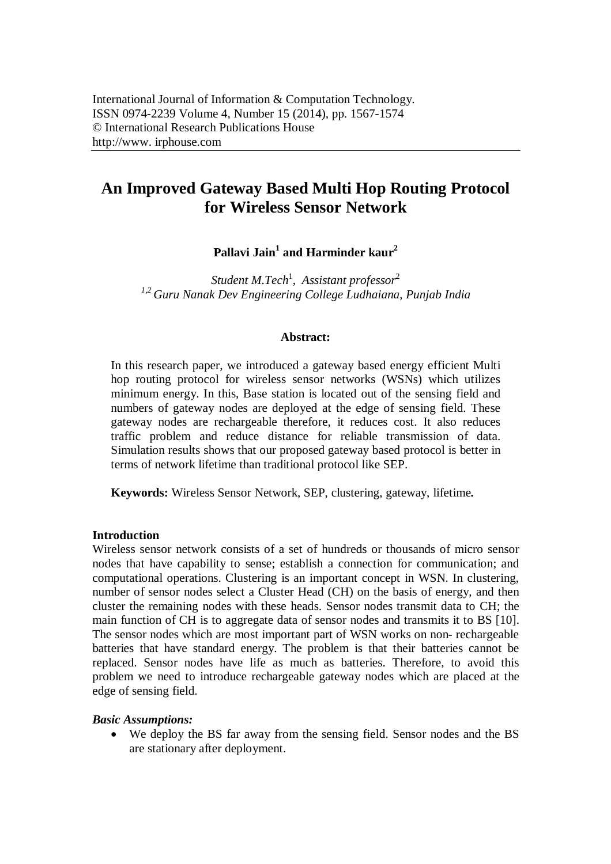# **An Improved Gateway Based Multi Hop Routing Protocol for Wireless Sensor Network**

**Pallavi Jain<sup>1</sup> and Harminder kaur<sup>2</sup>**

*Student M.Tech*<sup>1</sup> *, Assistant professor*<sup>2</sup> *1,2 Guru Nanak Dev Engineering College Ludhaiana, Punjab India*

## **Abstract:**

In this research paper, we introduced a gateway based energy efficient Multi hop routing protocol for wireless sensor networks (WSNs) which utilizes minimum energy. In this, Base station is located out of the sensing field and numbers of gateway nodes are deployed at the edge of sensing field. These gateway nodes are rechargeable therefore, it reduces cost. It also reduces traffic problem and reduce distance for reliable transmission of data. Simulation results shows that our proposed gateway based protocol is better in terms of network lifetime than traditional protocol like SEP.

**Keywords:** Wireless Sensor Network, SEP, clustering, gateway, lifetime**.**

## **Introduction**

Wireless sensor network consists of a set of hundreds or thousands of micro sensor nodes that have capability to sense; establish a connection for communication; and computational operations. Clustering is an important concept in WSN. In clustering, number of sensor nodes select a Cluster Head (CH) on the basis of energy, and then cluster the remaining nodes with these heads. Sensor nodes transmit data to CH; the main function of CH is to aggregate data of sensor nodes and transmits it to BS [10]. The sensor nodes which are most important part of WSN works on non- rechargeable batteries that have standard energy. The problem is that their batteries cannot be replaced. Sensor nodes have life as much as batteries. Therefore, to avoid this problem we need to introduce rechargeable gateway nodes which are placed at the edge of sensing field.

#### *Basic Assumptions:*

 We deploy the BS far away from the sensing field. Sensor nodes and the BS are stationary after deployment.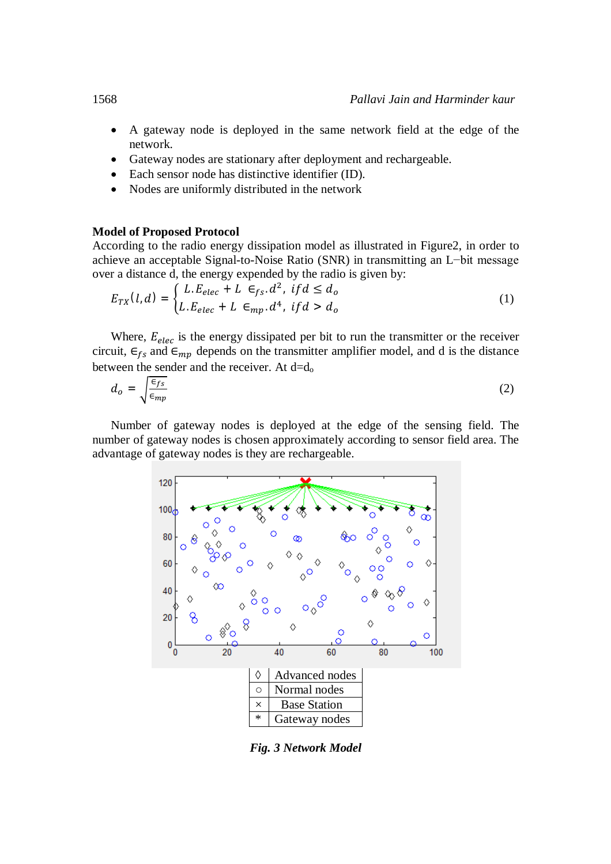- A gateway node is deployed in the same network field at the edge of the network.
- Gateway nodes are stationary after deployment and rechargeable.
- Each sensor node has distinctive identifier (ID).
- Nodes are uniformly distributed in the network

## **Model of Proposed Protocol**

According to the radio energy dissipation model as illustrated in Figure2, in order to achieve an acceptable Signal-to-Noise Ratio (SNR) in transmitting an L−bit message over a distance d, the energy expended by the radio is given by:

$$
E_{TX}(l,d) = \begin{cases} L.E_{elec} + L \in_{fs} d^2, & \text{if } d \leq d_o \\ L.E_{elec} + L \in_{mp} d^4, & \text{if } d > d_o \end{cases}
$$
 (1)

Where,  $E_{elec}$  is the energy dissipated per bit to run the transmitter or the receiver circuit,  $\epsilon_{fs}$  and  $\epsilon_{mp}$  depends on the transmitter amplifier model, and d is the distance between the sender and the receiver. At  $d=d_0$ 

$$
d_o = \sqrt{\frac{\epsilon_{fs}}{\epsilon_{mp}}} \tag{2}
$$

Number of gateway nodes is deployed at the edge of the sensing field. The number of gateway nodes is chosen approximately according to sensor field area. The advantage of gateway nodes is they are rechargeable.



*Fig. 3 Network Model*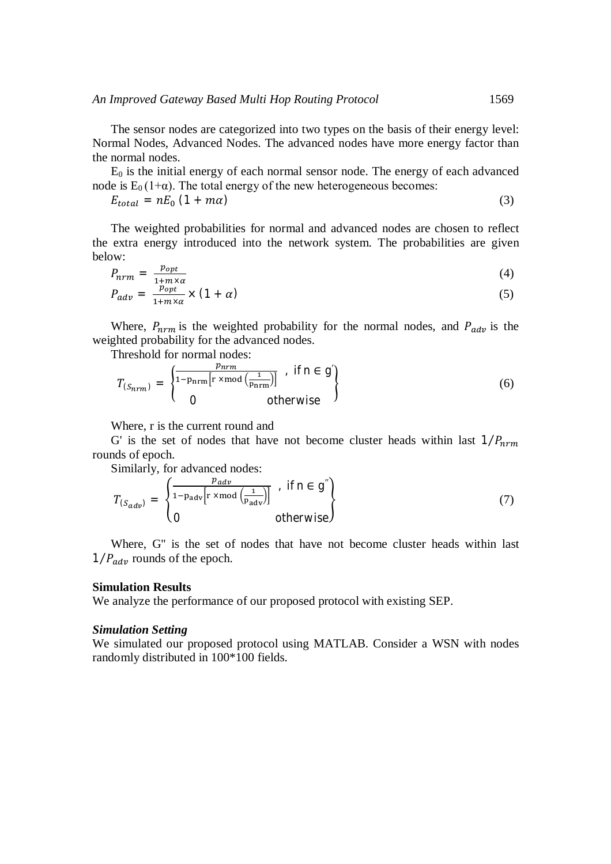The sensor nodes are categorized into two types on the basis of their energy level: Normal Nodes, Advanced Nodes. The advanced nodes have more energy factor than the normal nodes.

 $E_0$  is the initial energy of each normal sensor node. The energy of each advanced node is  $E_0(1+\alpha)$ . The total energy of the new heterogeneous becomes:

$$
E_{total} = nE_0 (1 + m\alpha) \tag{3}
$$

The weighted probabilities for normal and advanced nodes are chosen to reflect the extra energy introduced into the network system. The probabilities are given below:

$$
P_{nrm} = \frac{p_{opt}}{1 + m \times \alpha} \tag{4}
$$

$$
P_{adv} = \frac{p_{opt}}{1 + m \times \alpha} \times (1 + \alpha) \tag{5}
$$

Where,  $P_{nrm}$  is the weighted probability for the normal nodes, and  $P_{adv}$  is the weighted probability for the advanced nodes.

Threshold for normal nodes:

$$
T_{(S_{nrm})} = \begin{cases} \frac{p_{nrm}}{1 - p_{nrm}[r \times mod\left(\frac{1}{p_{nrm}})\right]} & , \text{ if } n \in g' \\ 0 & \text{ otherwise} \end{cases}
$$
 (6)

Where, r is the current round and

G' is the set of nodes that have not become cluster heads within last  $1/P_{nrm}$ rounds of epoch.

Similarly, for advanced nodes:

$$
T_{(S_{adv})} = \begin{cases} \frac{p_{adv}}{1 - p_{adv} \left[ r \times \text{mod} \left( \frac{1}{p_{adv}} \right) \right]} & \text{if } n \in g'' \\ 0 & \text{otherwise} \end{cases}
$$
 (7)

Where, G'' is the set of nodes that have not become cluster heads within last  $1/P_{adv}$  rounds of the epoch.

#### **Simulation Results**

We analyze the performance of our proposed protocol with existing SEP.

#### *Simulation Setting*

We simulated our proposed protocol using MATLAB. Consider a WSN with nodes randomly distributed in 100\*100 fields.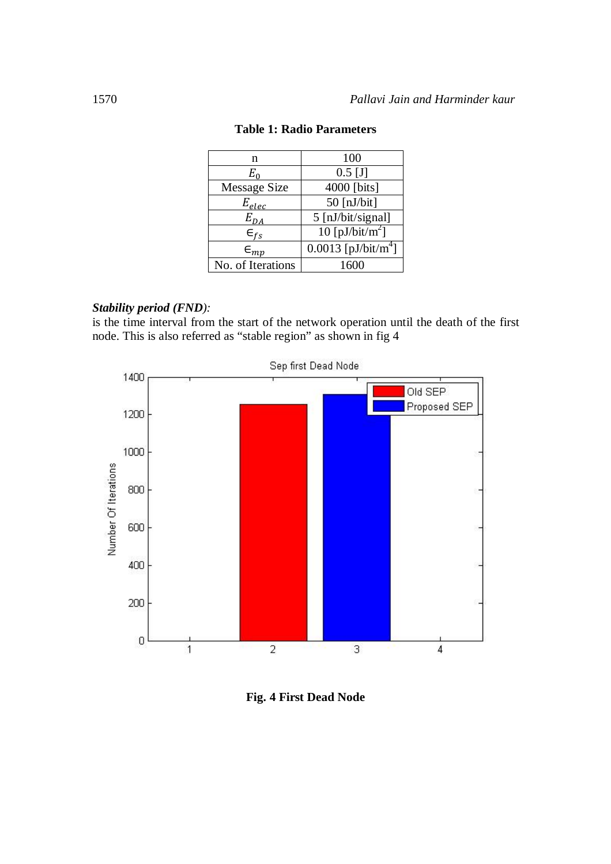| n                   | 100                             |  |  |
|---------------------|---------------------------------|--|--|
| $E_0$               | $0.5$ [J]                       |  |  |
| <b>Message Size</b> | 4000 [bits]                     |  |  |
| $E_{elec}$          | $50$ [nJ/bit]                   |  |  |
| $E_{DA}$            | 5 [nJ/bit/signal]               |  |  |
| $\epsilon_{fs}$     | 10 [pJ/bit/m <sup>2</sup> ]     |  |  |
| $\epsilon_{mp}$     | 0.0013 [pJ/bit/m <sup>4</sup> ] |  |  |
| No. of Iterations   | 1600                            |  |  |

## **Table 1: Radio Parameters**

## *Stability period (FND):*

is the time interval from the start of the network operation until the death of the first node. This is also referred as "stable region" as shown in fig 4



**Fig. 4 First Dead Node**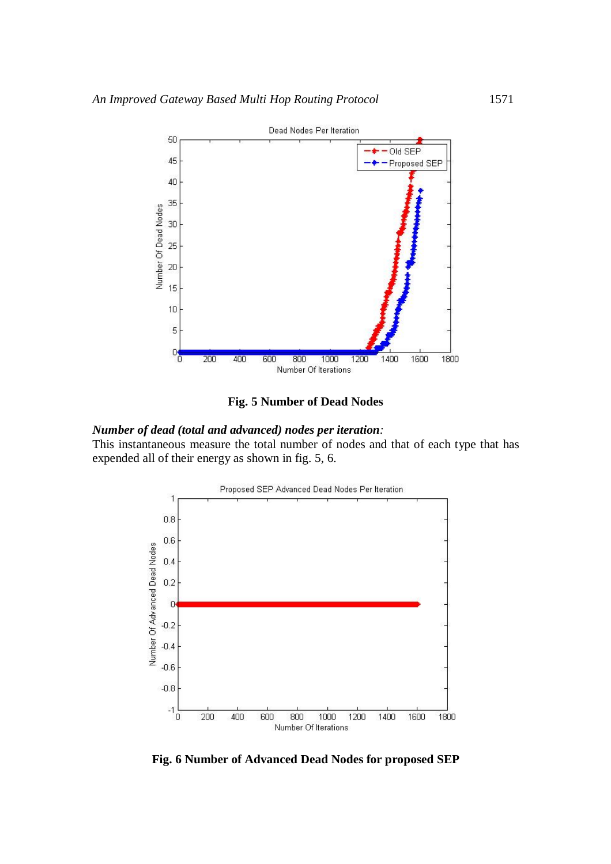

**Fig. 5 Number of Dead Nodes**

#### *Number of dead (total and advanced) nodes per iteration:*

This instantaneous measure the total number of nodes and that of each type that has expended all of their energy as shown in fig. 5, 6.



**Fig. 6 Number of Advanced Dead Nodes for proposed SEP**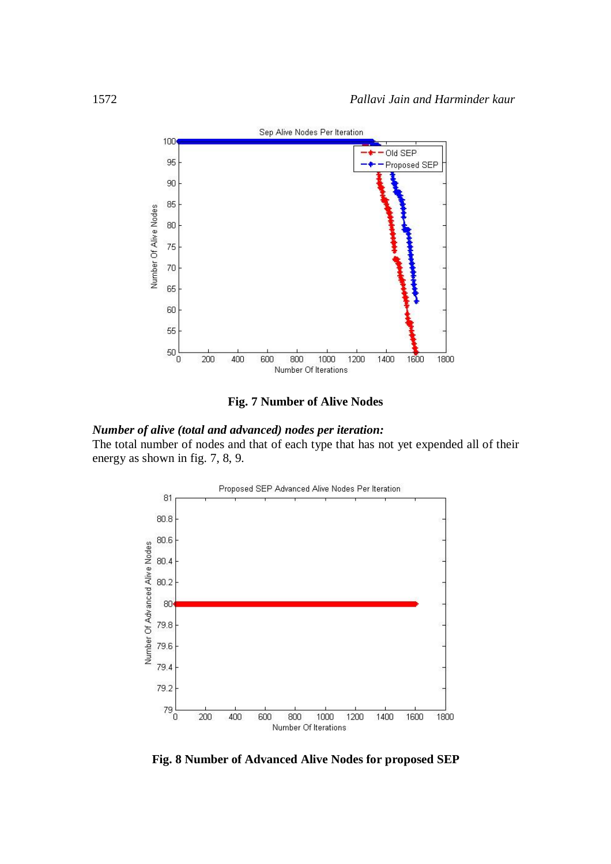

**Fig. 7 Number of Alive Nodes**

## *Number of alive (total and advanced) nodes per iteration:*

The total number of nodes and that of each type that has not yet expended all of their energy as shown in fig. 7, 8, 9.



**Fig. 8 Number of Advanced Alive Nodes for proposed SEP**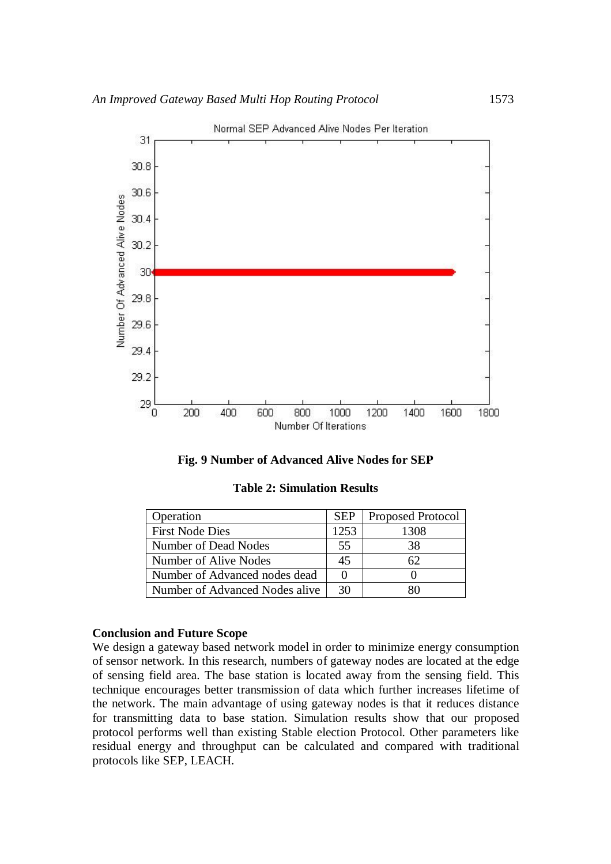

Normal SEP Advanced Alive Nodes Per Iteration

| Operation                      | <b>SEP</b> | Proposed Protocol |
|--------------------------------|------------|-------------------|
| <b>First Node Dies</b>         | 1253       | 1308              |
| Number of Dead Nodes           | 55         | 38                |
| Number of Alive Nodes          | 45         | 62.               |
| Number of Advanced nodes dead  |            |                   |
| Number of Advanced Nodes alive | 30         |                   |

#### **Conclusion and Future Scope**

We design a gateway based network model in order to minimize energy consumption of sensor network. In this research, numbers of gateway nodes are located at the edge of sensing field area. The base station is located away from the sensing field. This technique encourages better transmission of data which further increases lifetime of the network. The main advantage of using gateway nodes is that it reduces distance for transmitting data to base station. Simulation results show that our proposed protocol performs well than existing Stable election Protocol. Other parameters like residual energy and throughput can be calculated and compared with traditional protocols like SEP, LEACH.